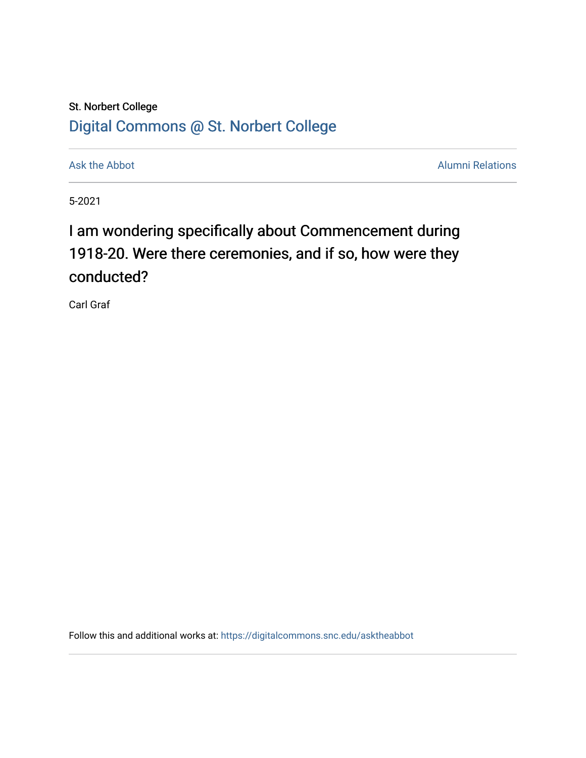## St. Norbert College [Digital Commons @ St. Norbert College](https://digitalcommons.snc.edu/)

[Ask the Abbot](https://digitalcommons.snc.edu/asktheabbot) **Alumni Relations** Ask the Abbot **Alumni Relations** 

5-2021

## I am wondering specifically about Commencement during 1918-20. Were there ceremonies, and if so, how were they conducted?

Carl Graf

Follow this and additional works at: [https://digitalcommons.snc.edu/asktheabbot](https://digitalcommons.snc.edu/asktheabbot?utm_source=digitalcommons.snc.edu%2Fasktheabbot%2F173&utm_medium=PDF&utm_campaign=PDFCoverPages)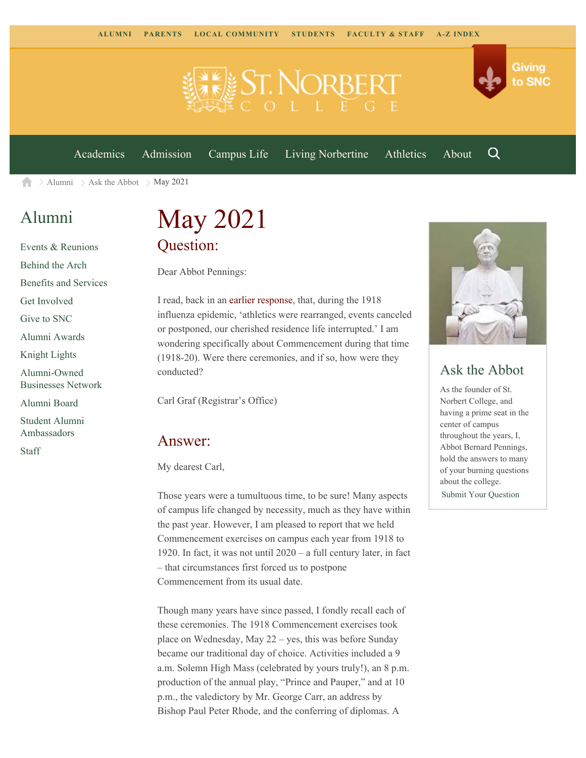

[Academics](https://www.snc.edu/academics) [Admission](https://www.snc.edu/admission) [Campus Life](https://www.snc.edu/campuslife) [Living Norbertine](https://www.snc.edu/livingnorbertine) [Athletics](https://www.snc.edu/athletics) [About](https://www.snc.edu/about)

Q

Giving

to SNC

 $\geq$  [Alumni](https://www.snc.edu/alumni/)  $\geq$  [Ask the Abbot](https://www.snc.edu/alumni/abbot/)  $\geq$  May 2021 合

### [Alumni](https://www.snc.edu/alumni/index.html)

[Events & Reunions](https://www.snc.edu/alumni/event/index.html) [Behind the Arch](https://www.snc.edu/alumni/event/behindthearch/) [Benefits and Services](https://www.snc.edu/alumni/benefits.html) [Get Involved](https://www.snc.edu/alumni/getinvolved.html) [Give to SNC](http://giving.snc.edu/) [Alumni Awards](https://www.snc.edu/alumni/awards/index.html) [Knight Lights](https://www.snc.edu/alumni/knightlights/index.html) [Alumni-Owned](https://www.snc.edu/alumni/directory/index.html) [Businesses Network](https://www.snc.edu/alumni/directory/index.html) [Alumni Board](https://www.snc.edu/alumni/alumniboard.html) [Student Alumni](https://www.snc.edu/alumni/saa.html) [Ambassadors](https://www.snc.edu/alumni/saa.html) [Staff](https://www.snc.edu/alumni/contactus.html)

# May 2021 Question:

Dear Abbot Pennings:

I read, back in an [earlier response,](https://www.snc.edu/alumni/abbot/202004.html) that, during the 1918 influenza epidemic, 'athletics were rearranged, events canceled or postponed, our cherished residence life interrupted.' I am wondering specifically about Commencement during that time (1918-20). Were there ceremonies, and if so, how were they conducted?

Carl Graf (Registrar's Office)

#### Answer:

My dearest Carl,

Those years were a tumultuous time, to be sure! Many aspects of campus life changed by necessity, much as they have within the past year. However, I am pleased to report that we held Commencement exercises on campus each year from 1918 to 1920. In fact, it was not until 2020 – a full century later, in fact – that circumstances first forced us to postpone Commencement from its usual date.

Though many years have since passed, I fondly recall each of these ceremonies. The 1918 Commencement exercises took place on Wednesday, May 22 – yes, this was before Sunday became our traditional day of choice. Activities included a 9 a.m. Solemn High Mass (celebrated by yours truly!), an 8 p.m. production of the annual play, "Prince and Pauper," and at 10 p.m., the valedictory by Mr. George Carr, an address by Bishop Paul Peter Rhode, and the conferring of diplomas. A



### Ask the Abbot

As the founder of St. Norbert College, and having a prime seat in the center of campus throughout the years, I, Abbot Bernard Pennings, hold the answers to many of your burning questions about the college. [Submit Your Question](https://www.snc.edu/alumni/abbot/index.html)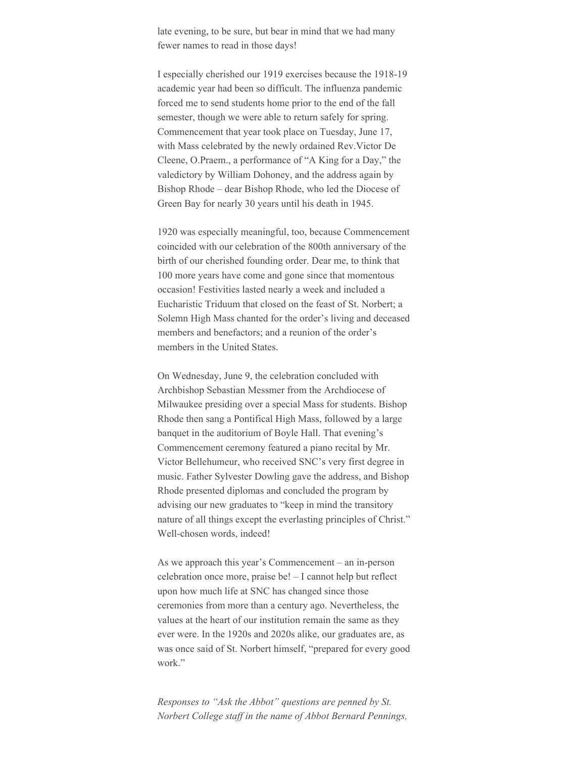late evening, to be sure, but bear in mind that we had many fewer names to read in those days!

I especially cherished our 1919 exercises because the 1918-19 academic year had been so difficult. The influenza pandemic forced me to send students home prior to the end of the fall semester, though we were able to return safely for spring. Commencement that year took place on Tuesday, June 17, with Mass celebrated by the newly ordained Rev.Victor De Cleene, O.Praem., a performance of "A King for a Day," the valedictory by William Dohoney, and the address again by Bishop Rhode – dear Bishop Rhode, who led the Diocese of Green Bay for nearly 30 years until his death in 1945.

1920 was especially meaningful, too, because Commencement coincided with our celebration of the 800th anniversary of the birth of our cherished founding order. Dear me, to think that 100 more years have come and gone since that momentous occasion! Festivities lasted nearly a week and included a Eucharistic Triduum that closed on the feast of St. Norbert; a Solemn High Mass chanted for the order's living and deceased members and benefactors; and a reunion of the order's members in the United States.

On Wednesday, June 9, the celebration concluded with Archbishop Sebastian Messmer from the Archdiocese of Milwaukee presiding over a special Mass for students. Bishop Rhode then sang a Pontifical High Mass, followed by a large banquet in the auditorium of Boyle Hall. That evening's Commencement ceremony featured a piano recital by Mr. Victor Bellehumeur, who received SNC's very first degree in music. Father Sylvester Dowling gave the address, and Bishop Rhode presented diplomas and concluded the program by advising our new graduates to "keep in mind the transitory nature of all things except the everlasting principles of Christ." Well-chosen words, indeed!

As we approach this year's Commencement – an in-person celebration once more, praise be! – I cannot help but reflect upon how much life at SNC has changed since those ceremonies from more than a century ago. Nevertheless, the values at the heart of our institution remain the same as they ever were. In the 1920s and 2020s alike, our graduates are, as was once said of St. Norbert himself, "prepared for every good work."

*Responses to "Ask the Abbot" questions are penned by St. Norbert College staff in the name of Abbot Bernard Pennings,*